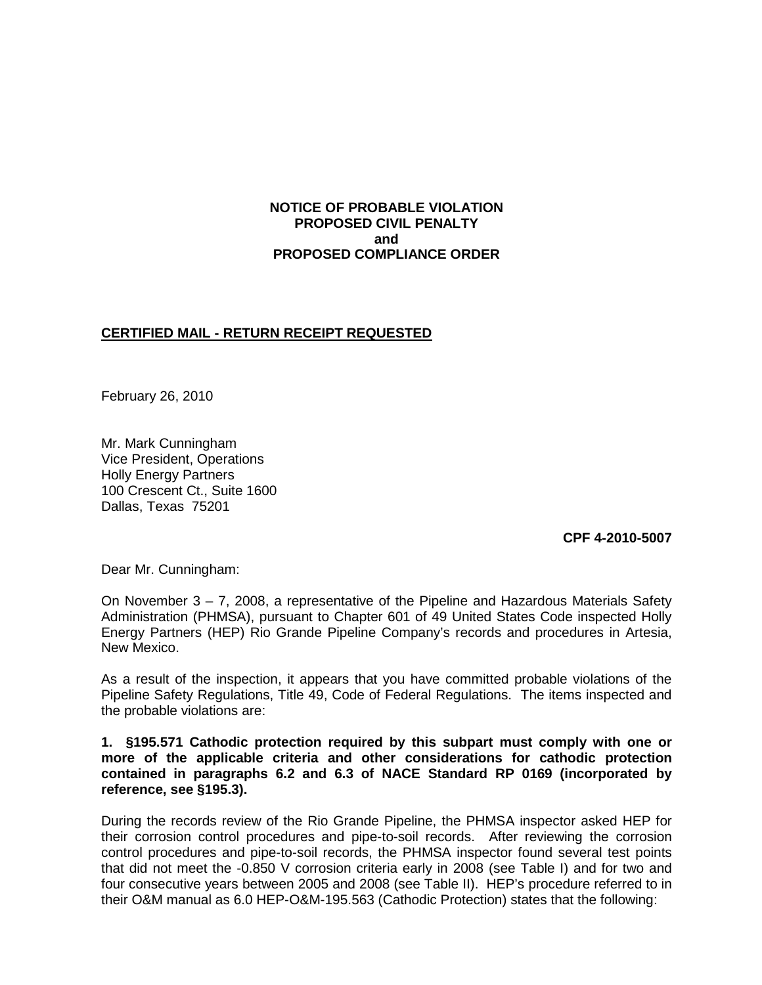## **NOTICE OF PROBABLE VIOLATION PROPOSED CIVIL PENALTY and PROPOSED COMPLIANCE ORDER**

# **CERTIFIED MAIL - RETURN RECEIPT REQUESTED**

February 26, 2010

Mr. Mark Cunningham Vice President, Operations Holly Energy Partners 100 Crescent Ct., Suite 1600 Dallas, Texas 75201

**CPF 4-2010-5007**

Dear Mr. Cunningham:

On November 3 – 7, 2008, a representative of the Pipeline and Hazardous Materials Safety Administration (PHMSA), pursuant to Chapter 601 of 49 United States Code inspected Holly Energy Partners (HEP) Rio Grande Pipeline Company's records and procedures in Artesia, New Mexico.

As a result of the inspection, it appears that you have committed probable violations of the Pipeline Safety Regulations, Title 49, Code of Federal Regulations. The items inspected and the probable violations are:

#### **1. §195.571 Cathodic protection required by this subpart must comply with one or more of the applicable criteria and other considerations for cathodic protection contained in paragraphs 6.2 and 6.3 of NACE Standard RP 0169 (incorporated by reference, see §195.3).**

During the records review of the Rio Grande Pipeline, the PHMSA inspector asked HEP for their corrosion control procedures and pipe-to-soil records. After reviewing the corrosion control procedures and pipe-to-soil records, the PHMSA inspector found several test points that did not meet the -0.850 V corrosion criteria early in 2008 (see Table I) and for two and four consecutive years between 2005 and 2008 (see Table II). HEP's procedure referred to in their O&M manual as 6.0 HEP-O&M-195.563 (Cathodic Protection) states that the following: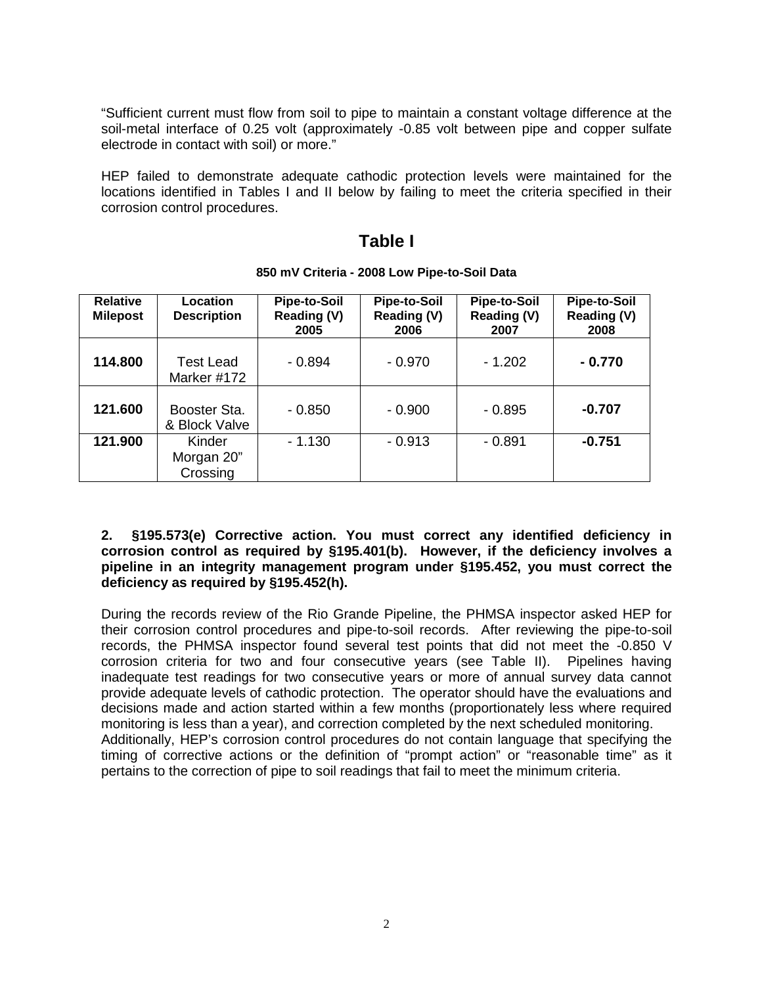"Sufficient current must flow from soil to pipe to maintain a constant voltage difference at the soil-metal interface of 0.25 volt (approximately -0.85 volt between pipe and copper sulfate electrode in contact with soil) or more."

HEP failed to demonstrate adequate cathodic protection levels were maintained for the locations identified in Tables I and II below by failing to meet the criteria specified in their corrosion control procedures.

# **Table I**

| <b>Relative</b><br><b>Milepost</b> | Location<br><b>Description</b>   | <b>Pipe-to-Soil</b><br>Reading (V)<br>2005 | <b>Pipe-to-Soil</b><br>Reading (V)<br>2006 | <b>Pipe-to-Soil</b><br>Reading (V)<br>2007 | <b>Pipe-to-Soil</b><br>Reading (V)<br>2008 |
|------------------------------------|----------------------------------|--------------------------------------------|--------------------------------------------|--------------------------------------------|--------------------------------------------|
| 114.800                            | <b>Test Lead</b><br>Marker #172  | $-0.894$                                   | $-0.970$                                   | $-1.202$                                   | - 0.770                                    |
| 121.600                            | Booster Sta.<br>& Block Valve    | $-0.850$                                   | $-0.900$                                   | $-0.895$                                   | $-0.707$                                   |
| 121.900                            | Kinder<br>Morgan 20"<br>Crossing | $-1.130$                                   | $-0.913$                                   | $-0.891$                                   | $-0.751$                                   |

#### **850 mV Criteria - 2008 Low Pipe-to-Soil Data**

**2. §195.573(e) Corrective action. You must correct any identified deficiency in corrosion control as required by §195.401(b). However, if the deficiency involves a pipeline in an integrity management program under §195.452, you must correct the deficiency as required by §195.452(h).**

During the records review of the Rio Grande Pipeline, the PHMSA inspector asked HEP for their corrosion control procedures and pipe-to-soil records. After reviewing the pipe-to-soil records, the PHMSA inspector found several test points that did not meet the -0.850 V corrosion criteria for two and four consecutive years (see Table II). Pipelines having inadequate test readings for two consecutive years or more of annual survey data cannot provide adequate levels of cathodic protection. The operator should have the evaluations and decisions made and action started within a few months (proportionately less where required monitoring is less than a year), and correction completed by the next scheduled monitoring. Additionally, HEP's corrosion control procedures do not contain language that specifying the timing of corrective actions or the definition of "prompt action" or "reasonable time" as it pertains to the correction of pipe to soil readings that fail to meet the minimum criteria.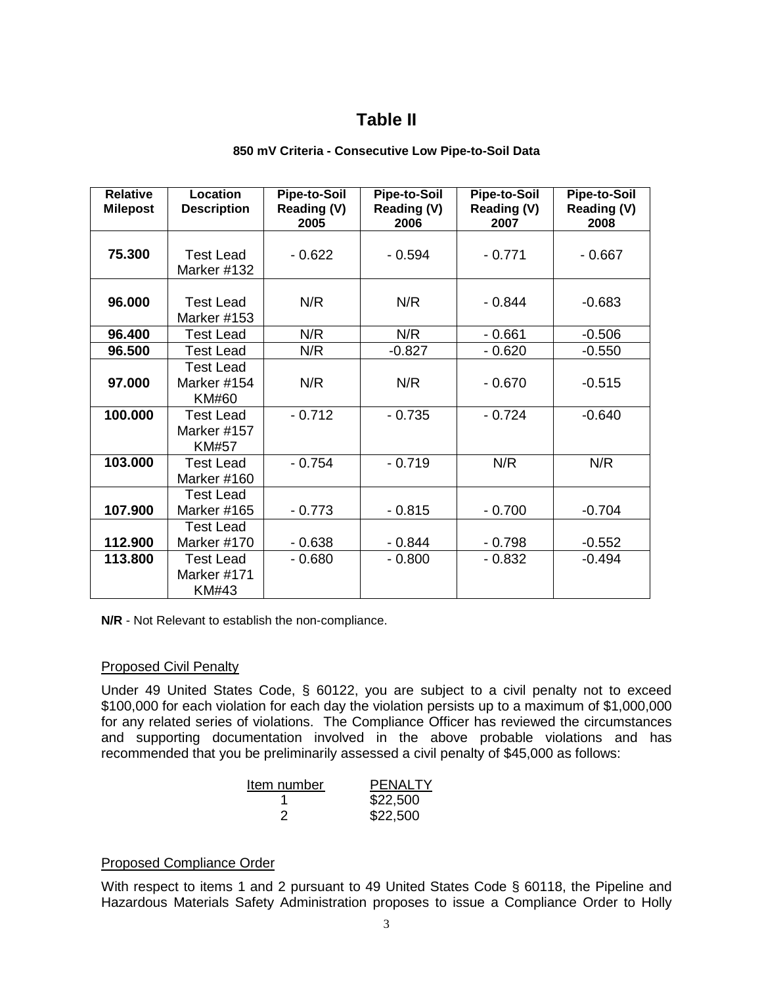# **Table II**

#### **850 mV Criteria - Consecutive Low Pipe-to-Soil Data**

| <b>Relative</b> | Location                                        | <b>Pipe-to-Soil</b> | <b>Pipe-to-Soil</b> | <b>Pipe-to-Soil</b> | <b>Pipe-to-Soil</b>        |
|-----------------|-------------------------------------------------|---------------------|---------------------|---------------------|----------------------------|
| <b>Milepost</b> | <b>Description</b>                              | Reading (V)<br>2005 | Reading (V)<br>2006 | Reading (V)<br>2007 | <b>Reading (V)</b><br>2008 |
| 75.300          | <b>Test Lead</b><br>Marker #132                 | $-0.622$            | $-0.594$            | $-0.771$            | $-0.667$                   |
| 96.000          | <b>Test Lead</b><br>Marker #153                 | N/R                 | N/R                 | $-0.844$            | $-0.683$                   |
| 96.400          | <b>Test Lead</b>                                | N/R                 | N/R                 | $-0.661$            | $-0.506$                   |
| 96.500          | <b>Test Lead</b>                                | N/R                 | $-0.827$            | $-0.620$            | $-0.550$                   |
| 97.000          | <b>Test Lead</b><br>Marker #154<br><b>KM#60</b> | N/R                 | N/R                 | $-0.670$            | $-0.515$                   |
| 100.000         | <b>Test Lead</b><br>Marker #157<br>KM#57        | $-0.712$            | $-0.735$            | $-0.724$            | $-0.640$                   |
| 103.000         | Test Lead<br>Marker #160                        | $-0.754$            | $-0.719$            | N/R                 | N/R                        |
| 107.900         | <b>Test Lead</b><br>Marker #165                 | $-0.773$            | $-0.815$            | $-0.700$            | $-0.704$                   |
| 112.900         | <b>Test Lead</b><br>Marker #170                 | $-0.638$            | $-0.844$            | $-0.798$            | $-0.552$                   |
| 113.800         | <b>Test Lead</b><br>Marker #171<br>KM#43        | $-0.680$            | $-0.800$            | $-0.832$            | $-0.494$                   |

**N/R** - Not Relevant to establish the non-compliance.

# Proposed Civil Penalty

Under 49 United States Code, § 60122, you are subject to a civil penalty not to exceed \$100,000 for each violation for each day the violation persists up to a maximum of \$1,000,000 for any related series of violations. The Compliance Officer has reviewed the circumstances and supporting documentation involved in the above probable violations and has recommended that you be preliminarily assessed a civil penalty of \$45,000 as follows:

| Item number | <b>PENALTY</b> |  |  |
|-------------|----------------|--|--|
|             | \$22,500       |  |  |
| ン           | \$22,500       |  |  |

# Proposed Compliance Order

With respect to items 1 and 2 pursuant to 49 United States Code § 60118, the Pipeline and Hazardous Materials Safety Administration proposes to issue a Compliance Order to Holly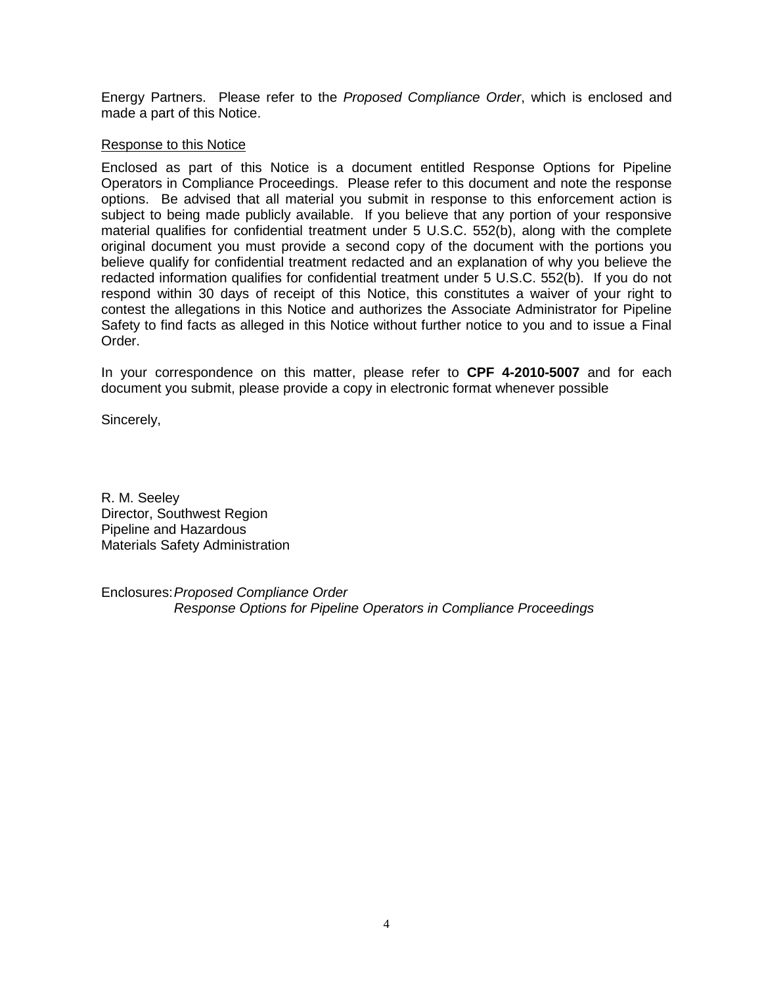Energy Partners. Please refer to the *Proposed Compliance Order*, which is enclosed and made a part of this Notice.

#### Response to this Notice

Enclosed as part of this Notice is a document entitled Response Options for Pipeline Operators in Compliance Proceedings. Please refer to this document and note the response options. Be advised that all material you submit in response to this enforcement action is subject to being made publicly available. If you believe that any portion of your responsive material qualifies for confidential treatment under 5 U.S.C. 552(b), along with the complete original document you must provide a second copy of the document with the portions you believe qualify for confidential treatment redacted and an explanation of why you believe the redacted information qualifies for confidential treatment under 5 U.S.C. 552(b). If you do not respond within 30 days of receipt of this Notice, this constitutes a waiver of your right to contest the allegations in this Notice and authorizes the Associate Administrator for Pipeline Safety to find facts as alleged in this Notice without further notice to you and to issue a Final Order.

In your correspondence on this matter, please refer to **CPF 4-2010-5007** and for each document you submit, please provide a copy in electronic format whenever possible

Sincerely,

R. M. Seeley Director, Southwest Region Pipeline and Hazardous Materials Safety Administration

Enclosures:*Proposed Compliance Order Response Options for Pipeline Operators in Compliance Proceedings*